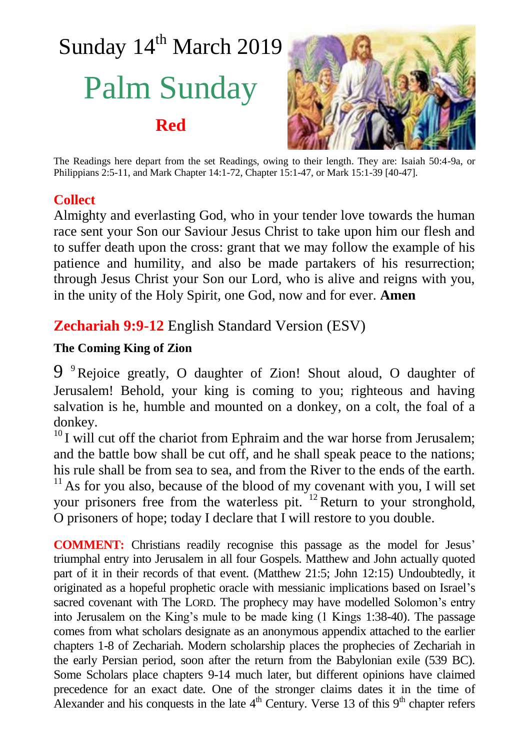# Sunday 14<sup>th</sup> March 2019 Palm Sunday **Red**



The Readings here depart from the set Readings, owing to their length. They are: Isaiah 50:4-9a, or Philippians 2:5-11, and Mark Chapter 14:1-72, Chapter 15:1-47, or Mark 15:1-39 [40-47].

## **Collect**

Almighty and everlasting God, who in your tender love towards the human race sent your Son our Saviour Jesus Christ to take upon him our flesh and to suffer death upon the cross: grant that we may follow the example of his patience and humility, and also be made partakers of his resurrection; through Jesus Christ your Son our Lord, who is alive and reigns with you, in the unity of the Holy Spirit, one God, now and for ever. **Amen**

# **Zechariah 9:9-12** English Standard Version (ESV)

## **The Coming King of Zion**

9<sup>9</sup>Rejoice greatly, O daughter of Zion! Shout aloud, O daughter of Jerusalem! Behold, your king is coming to you; righteous and having salvation is he, humble and mounted on a donkey, on a colt, the foal of a donkey.

 $10<sup>10</sup>$  I will cut off the chariot from Ephraim and the war horse from Jerusalem; and the battle bow shall be cut off, and he shall speak peace to the nations; his rule shall be from sea to sea, and from the River to the ends of the earth.  $11$  As for you also, because of the blood of my covenant with you, I will set your prisoners free from the waterless pit.  $^{12}$  Return to your stronghold, O prisoners of hope; today I declare that I will restore to you double.

**COMMENT:** Christians readily recognise this passage as the model for Jesus' triumphal entry into Jerusalem in all four Gospels. Matthew and John actually quoted part of it in their records of that event. (Matthew 21:5; John 12:15) Undoubtedly, it originated as a hopeful prophetic oracle with messianic implications based on Israel's sacred covenant with The LORD. The prophecy may have modelled Solomon's entry into Jerusalem on the King's mule to be made king (1 Kings 1:38-40). The passage comes from what scholars designate as an anonymous appendix attached to the earlier chapters 1-8 of Zechariah. Modern scholarship places the prophecies of Zechariah in the early Persian period, soon after the return from the Babylonian exile (539 BC). Some Scholars place chapters 9-14 much later, but different opinions have claimed precedence for an exact date. One of the stronger claims dates it in the time of Alexander and his conquests in the late  $4<sup>th</sup>$  Century. Verse 13 of this  $9<sup>th</sup>$  chapter refers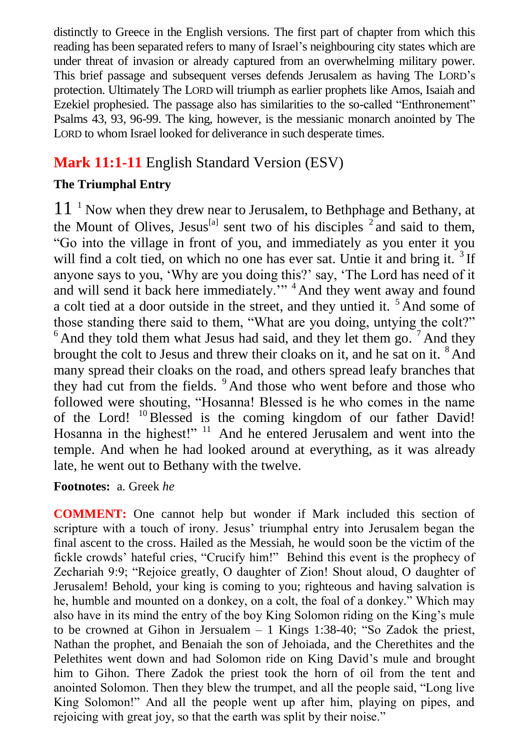distinctly to Greece in the English versions. The first part of chapter from which this reading has been separated refers to many of Israel's neighbouring city states which are under threat of invasion or already captured from an overwhelming military power. This brief passage and subsequent verses defends Jerusalem as having The LORD's protection. Ultimately The LORD will triumph as earlier prophets like Amos, Isaiah and Ezekiel prophesied. The passage also has similarities to the so-called "Enthronement" Psalms 43, 93, 96-99. The king, however, is the messianic monarch anointed by The LORD to whom Israel looked for deliverance in such desperate times.

## **Mark 11:1-11** English Standard Version (ESV)

## **The Triumphal Entry**

 $11<sup>-1</sup>$  Now when they drew near to Jerusalem, to Bethphage and Bethany, at the Mount of Olives, Jesus<sup>[a]</sup> sent two of his disciples  $^2$  and said to them, "Go into the village in front of you, and immediately as you enter it you will find a colt tied, on which no one has ever sat. Untie it and bring it.<sup>3</sup> If anyone says to you, 'Why are you doing this?' say, 'The Lord has need of it and will send it back here immediately."<sup>4</sup> And they went away and found a colt tied at a door outside in the street, and they untied it. <sup>5</sup> And some of those standing there said to them, "What are you doing, untying the colt?"  $6$  And they told them what Jesus had said, and they let them go.  $7$  And they brought the colt to Jesus and threw their cloaks on it, and he sat on it. <sup>8</sup> And many spread their cloaks on the road, and others spread leafy branches that they had cut from the fields. <sup>9</sup> And those who went before and those who followed were shouting, "Hosanna! Blessed is he who comes in the name of the Lord! <sup>10</sup>Blessed is the coming kingdom of our father David! Hosanna in the highest!" <sup>11</sup> And he entered Jerusalem and went into the temple. And when he had looked around at everything, as it was already late, he went out to Bethany with the twelve.

## **Footnotes:** a. Greek *he*

**COMMENT:** One cannot help but wonder if Mark included this section of scripture with a touch of irony. Jesus' triumphal entry into Jerusalem began the final ascent to the cross. Hailed as the Messiah, he would soon be the victim of the fickle crowds' hateful cries, "Crucify him!" Behind this event is the prophecy of Zechariah 9:9; "Rejoice greatly, O daughter of Zion! Shout aloud, O daughter of Jerusalem! Behold, your king is coming to you; righteous and having salvation is he, humble and mounted on a donkey, on a colt, the foal of a donkey." Which may also have in its mind the entry of the boy King Solomon riding on the King's mule to be crowned at Gihon in Jersualem  $-1$  Kings 1:38-40; "So Zadok the priest, Nathan the prophet, and Benaiah the son of Jehoiada, and the Cherethites and the Pelethites went down and had Solomon ride on King David's mule and brought him to Gihon. There Zadok the priest took the horn of oil from the tent and anointed Solomon. Then they blew the trumpet, and all the people said, "Long live King Solomon!" And all the people went up after him, playing on pipes, and rejoicing with great joy, so that the earth was split by their noise."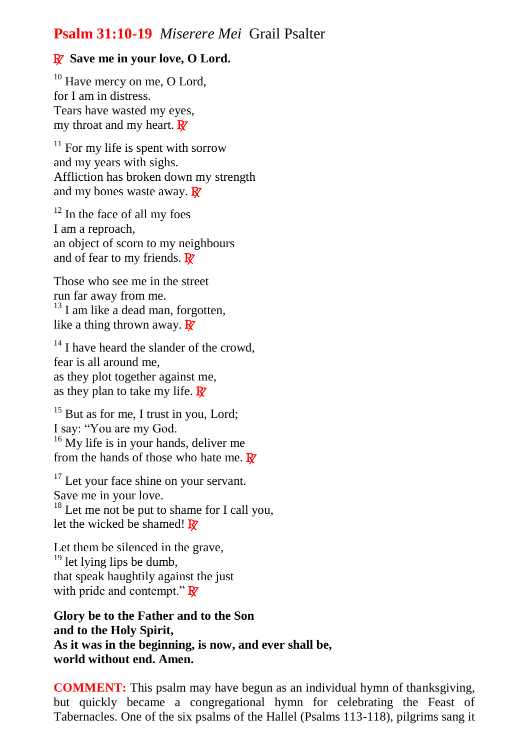## **Psalm 31:10-19** *Miserere Mei* Grail Psalter

## R**Save me in your love, O Lord.**

 $10$  Have mercy on me, O Lord, for I am in distress. Tears have wasted my eyes, my throat and my heart.  $\mathbf{R}$ 

 $11$  For my life is spent with sorrow and my years with sighs. Affliction has broken down my strength and my bones waste away.  $\mathbf{R}^{\prime}$ 

 $12$  In the face of all my foes I am a reproach, an object of scorn to my neighbours and of fear to my friends.  $\mathbf{\mathbb{R}}$ 

Those who see me in the street run far away from me.  $13$  I am like a dead man, forgotten, like a thing thrown away.  $\mathbf{\mathbb{R}}$ 

 $14$  I have heard the slander of the crowd. fear is all around me, as they plot together against me, as they plan to take my life.  $\mathbb{R}^7$ 

<sup>15</sup> But as for me, I trust in you, Lord; I say: "You are my God.  $16$  My life is in your hands, deliver me from the hands of those who hate me.  $\mathbb{R}^r$ 

<sup>17</sup> Let your face shine on your servant. Save me in your love.  $18$  Let me not be put to shame for I call you, let the wicked be shamed!  $\mathbb{R}^7$ 

Let them be silenced in the grave, <sup>19</sup> let lying lips be dumb, that speak haughtily against the just with pride and contempt."  $\mathbf{R}$ 

**Glory be to the Father and to the Son and to the Holy Spirit, As it was in the beginning, is now, and ever shall be, world without end. Amen.** 

**COMMENT:** This psalm may have begun as an individual hymn of thanksgiving, but quickly became a congregational hymn for celebrating the Feast of Tabernacles. One of the six psalms of the Hallel (Psalms 113-118), pilgrims sang it